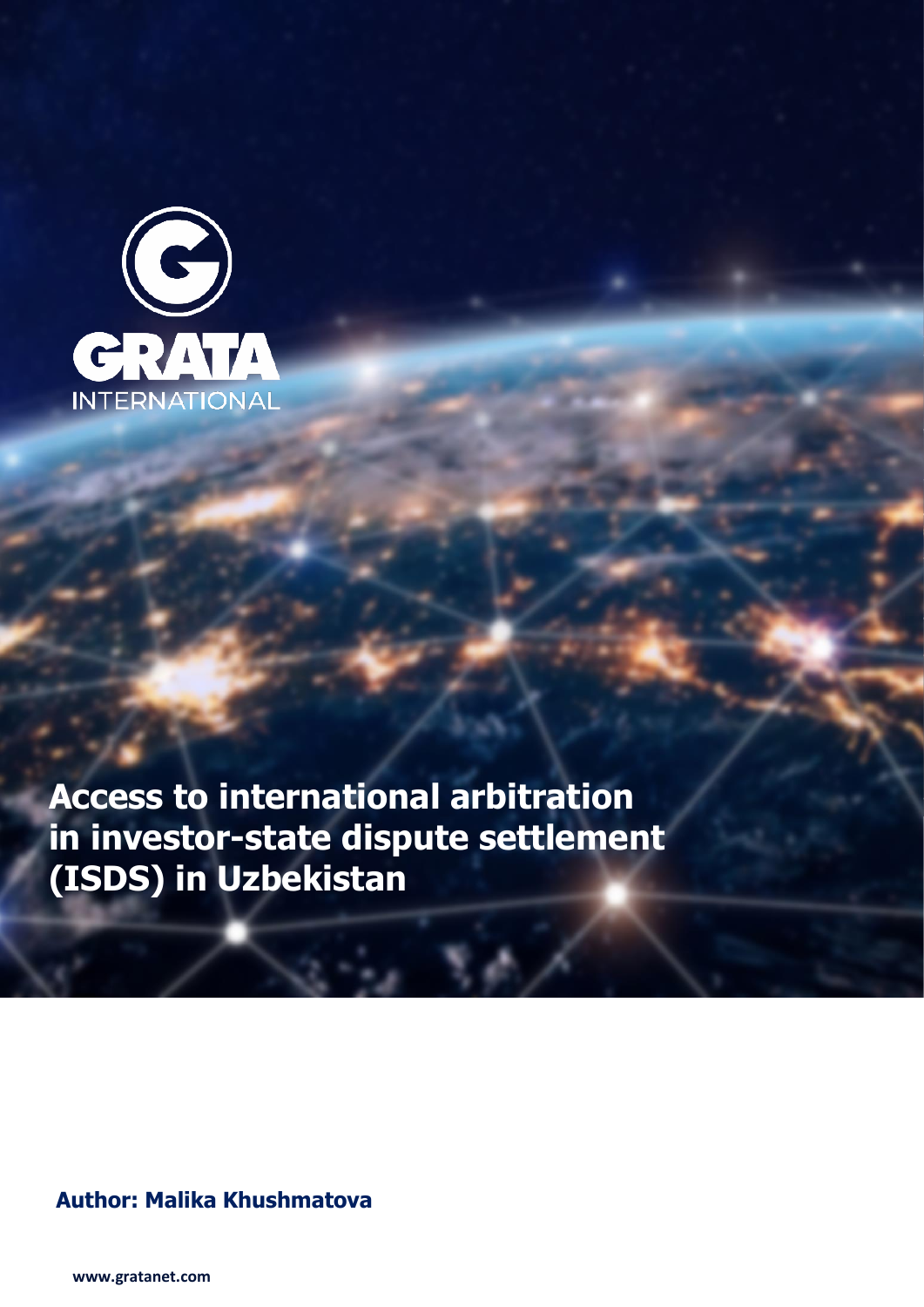

**Access to international arbitration in investor-state dispute settlement (ISDS) in Uzbekistan**

# **Author: Malika Khushmatova**

**www.gratanet.com**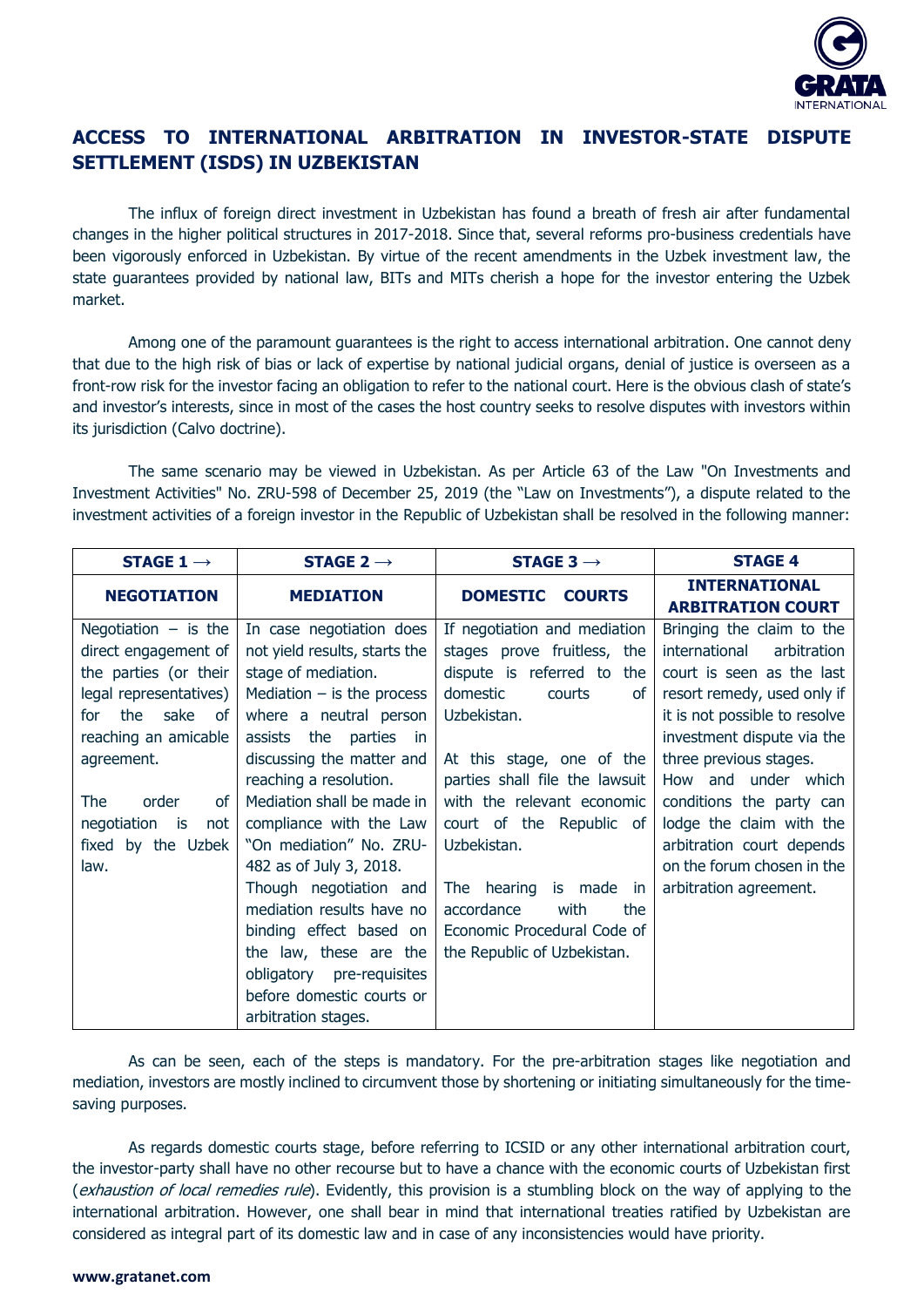

# **ACCESS TO INTERNATIONAL ARBITRATION IN INVESTOR-STATE DISPUTE SETTLEMENT (ISDS) IN UZBEKISTAN**

The influx of foreign direct investment in Uzbekistan has found a breath of fresh air after fundamental changes in the higher political structures in 2017-2018. Since that, several reforms pro-business credentials have been vigorously enforced in Uzbekistan. By virtue of the recent amendments in the Uzbek investment law, the state guarantees provided by national law, BITs and MITs cherish a hope for the investor entering the Uzbek market.

Among one of the paramount guarantees is the right to access international arbitration. One cannot deny that due to the high risk of bias or lack of expertise by national judicial organs, denial of justice is overseen as a front-row risk for the investor facing an obligation to refer to the national court. Here is the obvious clash of state's and investor's interests, since in most of the cases the host country seeks to resolve disputes with investors within its jurisdiction (Calvo doctrine).

The same scenario may be viewed in Uzbekistan. As per Article 63 of the Law "On Investments and Investment Activities" No. ZRU-598 of December 25, 2019 (the "Law on Investments"), a dispute related to the investment activities of a foreign investor in the Republic of Uzbekistan shall be resolved in the following manner:

| STAGE 1 $\rightarrow$      | STAGE 2 $\rightarrow$         | STAGE 3 $\rightarrow$            | <b>STAGE 4</b>                                   |
|----------------------------|-------------------------------|----------------------------------|--------------------------------------------------|
| <b>NEGOTIATION</b>         | <b>MEDIATION</b>              | <b>DOMESTIC</b><br><b>COURTS</b> | <b>INTERNATIONAL</b><br><b>ARBITRATION COURT</b> |
| Negotiation $-$ is the     | In case negotiation does      | If negotiation and mediation     | Bringing the claim to the                        |
| direct engagement of       | not yield results, starts the | stages prove fruitless, the      | international<br>arbitration                     |
| the parties (or their      | stage of mediation.           | dispute is referred to<br>the    | court is seen as the last                        |
| legal representatives)     | Mediation $-$ is the process  | domestic<br>courts<br>οf         | resort remedy, used only if                      |
| sake<br>the<br>for<br>of   | where a neutral person        | Uzbekistan.                      | it is not possible to resolve                    |
| reaching an amicable       | assists the parties in        |                                  | investment dispute via the                       |
| agreement.                 | discussing the matter and     | At this stage, one of the        | three previous stages.                           |
|                            | reaching a resolution.        | parties shall file the lawsuit   | How and under which                              |
| order<br>The<br>of         | Mediation shall be made in    | with the relevant economic       | conditions the party can                         |
| negotiation<br>is i<br>not | compliance with the Law       | court of the Republic of         | lodge the claim with the                         |
| fixed by the Uzbek         | "On mediation" No. ZRU-       | Uzbekistan.                      | arbitration court depends                        |
| law.                       | 482 as of July 3, 2018.       |                                  | on the forum chosen in the                       |
|                            | Though negotiation and        | The hearing<br>is made<br>- in   | arbitration agreement.                           |
|                            | mediation results have no     | accordance<br>with<br>the        |                                                  |
|                            | binding effect based on       | Economic Procedural Code of      |                                                  |
|                            | the law, these are the        | the Republic of Uzbekistan.      |                                                  |
|                            | obligatory pre-requisites     |                                  |                                                  |
|                            | before domestic courts or     |                                  |                                                  |
|                            | arbitration stages.           |                                  |                                                  |

As can be seen, each of the steps is mandatory. For the pre-arbitration stages like negotiation and mediation, investors are mostly inclined to circumvent those by shortening or initiating simultaneously for the timesaving purposes.

As regards domestic courts stage, before referring to ICSID or any other international arbitration court, the investor-party shall have no other recourse but to have a chance with the economic courts of Uzbekistan first (exhaustion of local remedies rule). Evidently, this provision is a stumbling block on the way of applying to the international arbitration. However, one shall bear in mind that international treaties ratified by Uzbekistan are considered as integral part of its domestic law and in case of any inconsistencies would have priority.

#### **www.gratanet.com**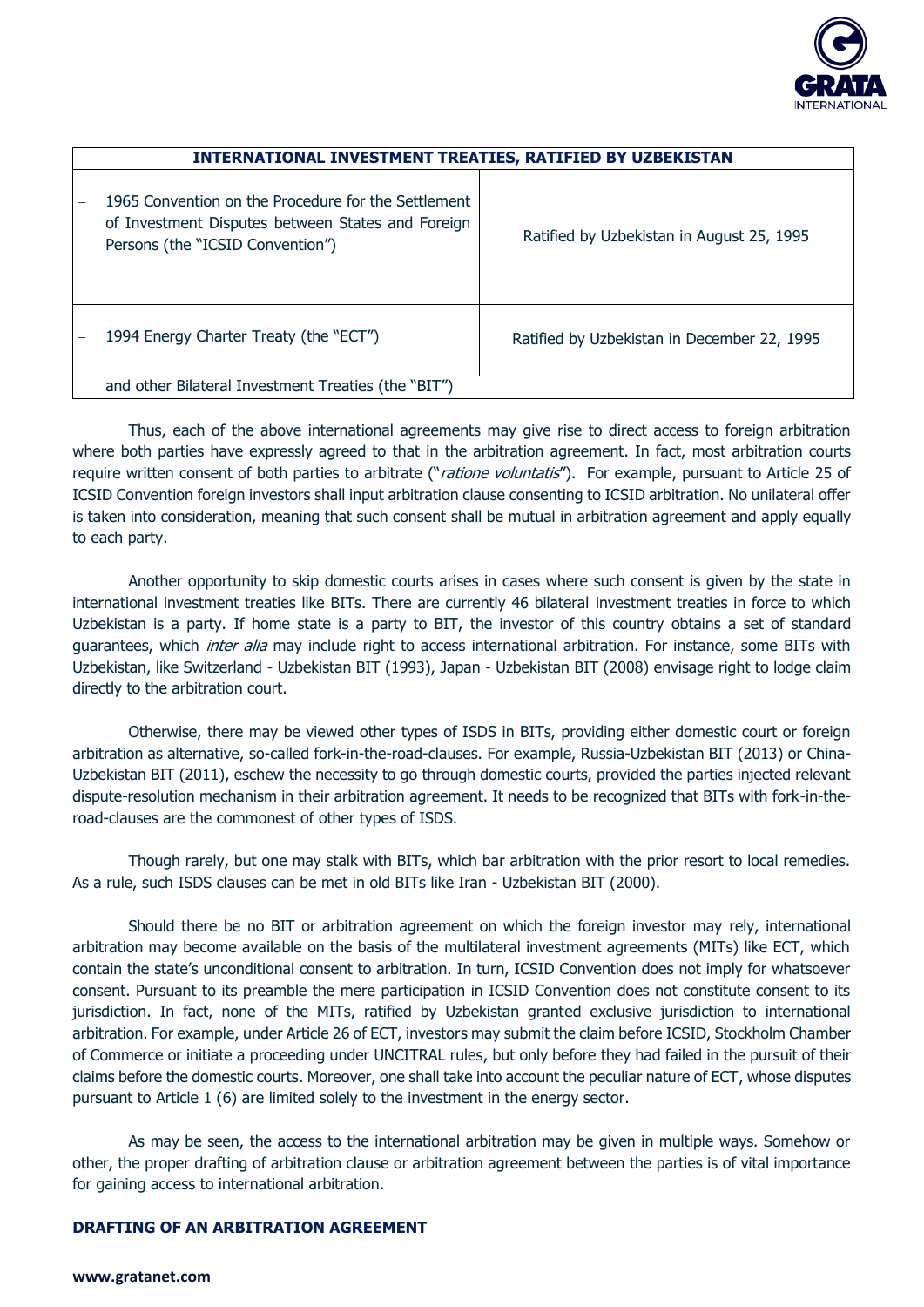

| <b>INTERNATIONAL INVESTMENT TREATIES, RATIFIED BY UZBEKISTAN</b>                                                                             |                                             |  |  |
|----------------------------------------------------------------------------------------------------------------------------------------------|---------------------------------------------|--|--|
| 1965 Convention on the Procedure for the Settlement<br>of Investment Disputes between States and Foreign<br>Persons (the "ICSID Convention") | Ratified by Uzbekistan in August 25, 1995   |  |  |
| 1994 Energy Charter Treaty (the "ECT")                                                                                                       | Ratified by Uzbekistan in December 22, 1995 |  |  |
| and other Bilateral Investment Treaties (the "BIT")                                                                                          |                                             |  |  |

Thus, each of the above international agreements may give rise to direct access to foreign arbitration where both parties have expressly agreed to that in the arbitration agreement. In fact, most arbitration courts require written consent of both parties to arbitrate ("ratione voluntatis"). For example, pursuant to Article 25 of ICSID Convention foreign investors shall input arbitration clause consenting to ICSID arbitration. No unilateral offer is taken into consideration, meaning that such consent shall be mutual in arbitration agreement and apply equally to each party.

Another opportunity to skip domestic courts arises in cases where such consent is given by the state in international investment treaties like BITs. There are currently 46 bilateral investment treaties in force to which Uzbekistan is a party. If home state is a party to BIT, the investor of this country obtains a set of standard guarantees, which *inter alia* may include right to access international arbitration. For instance, some BITs with Uzbekistan, like Switzerland - Uzbekistan BIT (1993), Japan - Uzbekistan BIT (2008) envisage right to lodge claim directly to the arbitration court.

Otherwise, there may be viewed other types of ISDS in BITs, providing either domestic court or foreign arbitration as alternative, so-called fork-in-the-road-clauses. For example, Russia-Uzbekistan BIT (2013) or China-Uzbekistan BIT (2011), eschew the necessity to go through domestic courts, provided the parties injected relevant dispute-resolution mechanism in their arbitration agreement. It needs to be recognized that BITs with fork-in-theroad-clauses are the commonest of other types of ISDS.

Though rarely, but one may stalk with BITs, which bar arbitration with the prior resort to local remedies. As a rule, such ISDS clauses can be met in old BITs like Iran - Uzbekistan BIT (2000).

Should there be no BIT or arbitration agreement on which the foreign investor may rely, international arbitration may become available on the basis of the multilateral investment agreements (MITs) like ECT, which contain the state's unconditional consent to arbitration. In turn, ICSID Convention does not imply for whatsoever consent. Pursuant to its preamble the mere participation in ICSID Convention does not constitute consent to its jurisdiction. In fact, none of the MITs, ratified by Uzbekistan granted exclusive jurisdiction to international arbitration. For example, under Article 26 of ECT, investors may submit the claim before ICSID, Stockholm Chamber of Commerce or initiate a proceeding under UNCITRAL rules, but only before they had failed in the pursuit of their claims before the domestic courts. Moreover, one shall take into account the peculiar nature of ECT, whose disputes pursuant to Article 1 (6) are limited solely to the investment in the energy sector.

As may be seen, the access to the international arbitration may be given in multiple ways. Somehow or other, the proper drafting of arbitration clause or arbitration agreement between the parties is of vital importance for gaining access to international arbitration.

## **DRAFTING OF AN ARBITRATION AGREEMENT**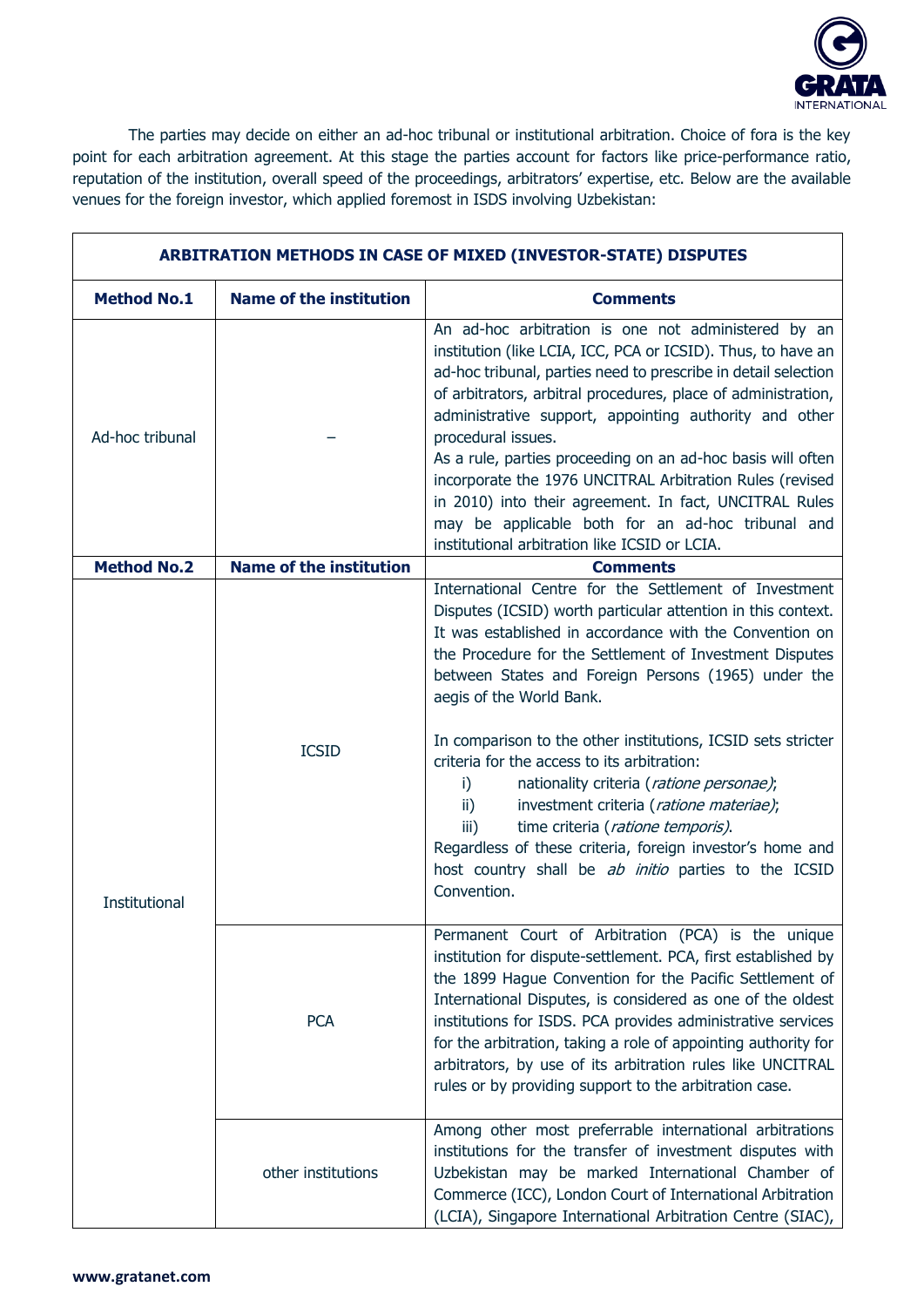

The parties may decide on either an ad-hoc tribunal or institutional arbitration. Choice of fora is the key point for each arbitration agreement. At this stage the parties account for factors like price-performance ratio, reputation of the institution, overall speed of the proceedings, arbitrators' expertise, etc. Below are the available venues for the foreign investor, which applied foremost in ISDS involving Uzbekistan:

| <b>ARBITRATION METHODS IN CASE OF MIXED (INVESTOR-STATE) DISPUTES</b> |                                |                                                                                                                                                                                                                                                                                                                                                                                                                                                                                                                                                                                                                                                                                                                                                |  |  |
|-----------------------------------------------------------------------|--------------------------------|------------------------------------------------------------------------------------------------------------------------------------------------------------------------------------------------------------------------------------------------------------------------------------------------------------------------------------------------------------------------------------------------------------------------------------------------------------------------------------------------------------------------------------------------------------------------------------------------------------------------------------------------------------------------------------------------------------------------------------------------|--|--|
| <b>Method No.1</b>                                                    | <b>Name of the institution</b> | <b>Comments</b>                                                                                                                                                                                                                                                                                                                                                                                                                                                                                                                                                                                                                                                                                                                                |  |  |
| Ad-hoc tribunal                                                       |                                | An ad-hoc arbitration is one not administered by an<br>institution (like LCIA, ICC, PCA or ICSID). Thus, to have an<br>ad-hoc tribunal, parties need to prescribe in detail selection<br>of arbitrators, arbitral procedures, place of administration,<br>administrative support, appointing authority and other<br>procedural issues.<br>As a rule, parties proceeding on an ad-hoc basis will often<br>incorporate the 1976 UNCITRAL Arbitration Rules (revised<br>in 2010) into their agreement. In fact, UNCITRAL Rules<br>may be applicable both for an ad-hoc tribunal and<br>institutional arbitration like ICSID or LCIA.                                                                                                              |  |  |
| <b>Method No.2</b>                                                    | <b>Name of the institution</b> | <b>Comments</b>                                                                                                                                                                                                                                                                                                                                                                                                                                                                                                                                                                                                                                                                                                                                |  |  |
| <b>Institutional</b>                                                  | <b>ICSID</b>                   | International Centre for the Settlement of Investment<br>Disputes (ICSID) worth particular attention in this context.<br>It was established in accordance with the Convention on<br>the Procedure for the Settlement of Investment Disputes<br>between States and Foreign Persons (1965) under the<br>aegis of the World Bank.<br>In comparison to the other institutions, ICSID sets stricter<br>criteria for the access to its arbitration:<br>nationality criteria (ratione personae);<br>i)<br>investment criteria (ratione materiae);<br>$\mathbf{ii}$ )<br>time criteria (ratione temporis).<br>iii)<br>Regardless of these criteria, foreign investor's home and<br>host country shall be ab initio parties to the ICSID<br>Convention. |  |  |
|                                                                       | <b>PCA</b>                     | Permanent Court of Arbitration (PCA) is the unique<br>institution for dispute-settlement. PCA, first established by<br>the 1899 Hague Convention for the Pacific Settlement of<br>International Disputes, is considered as one of the oldest<br>institutions for ISDS. PCA provides administrative services<br>for the arbitration, taking a role of appointing authority for<br>arbitrators, by use of its arbitration rules like UNCITRAL<br>rules or by providing support to the arbitration case.                                                                                                                                                                                                                                          |  |  |
|                                                                       | other institutions             | Among other most preferrable international arbitrations<br>institutions for the transfer of investment disputes with<br>Uzbekistan may be marked International Chamber of<br>Commerce (ICC), London Court of International Arbitration<br>(LCIA), Singapore International Arbitration Centre (SIAC),                                                                                                                                                                                                                                                                                                                                                                                                                                           |  |  |